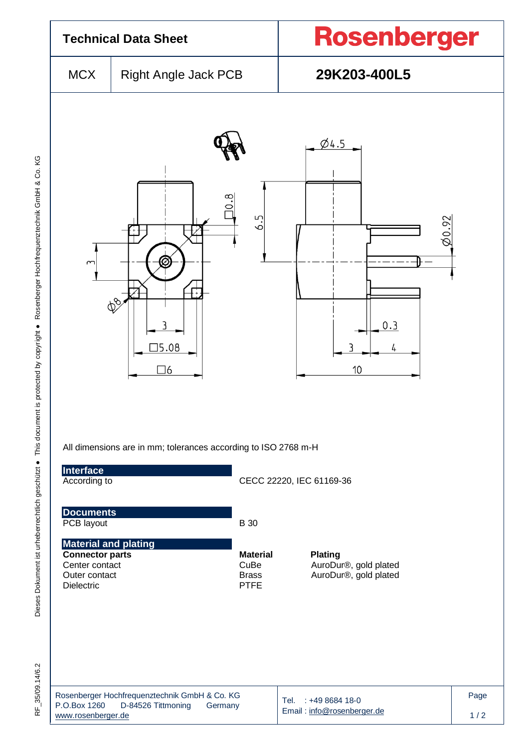

Dieses Dokument ist urheberrechtlich geschützt ● This document is protected by copyright ● Rosenberger Hochfrequenztechnik GmbH & Co. KG F\_35/09.14/6.2 Dieses Dokument ist urheberrechtlich geschützt ● This document is protected by copyright ● Rosenberger Hochfrequenztechnik GmbH & Co. KG